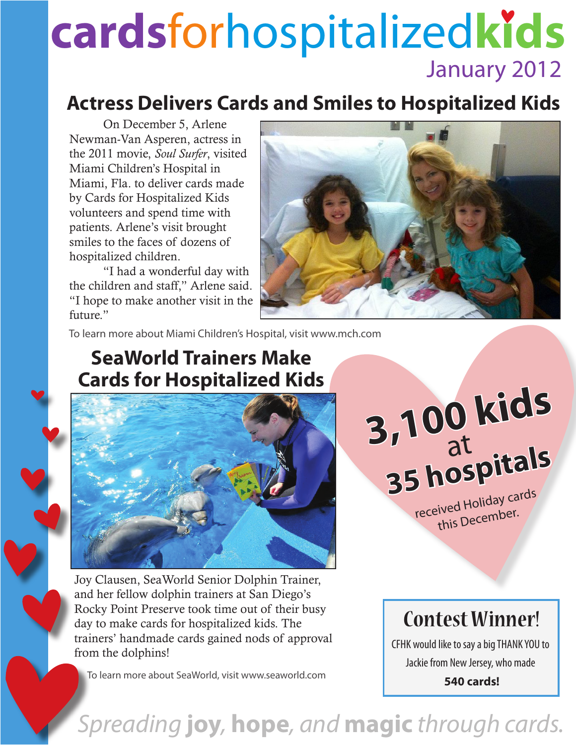## **cards**forhospitalized**kids** January 2012

#### **Actress Delivers Cards and Smiles to Hospitalized Kids**

On December 5, Arlene Newman-Van Asperen, actress in the 2011 movie, *Soul Surfer*, visited Miami Children's Hospital in Miami, Fla. to deliver cards made by Cards for Hospitalized Kids volunteers and spend time with patients. Arlene's visit brought smiles to the faces of dozens of hospitalized children.

"I had a wonderful day with the children and staff," Arlene said. "I hope to make another visit in the future."



To learn more about Miami Children's Hospital, visit www.mch.com

#### **SeaWorld Trainers Make Cards for Hospitalized Kids**



Joy Clausen, SeaWorld Senior Dolphin Trainer, and her fellow dolphin trainers at San Diego's Rocky Point Preserve took time out of their busy day to make cards for hospitalized kids. The trainers' handmade cards gained nods of approval from the dolphins!

To learn more about SeaWorld, visit www.seaworld.com

## **3,100 kids 35 hospitals** at

received Holiday cards this December.

#### **Contest Winner!**

CFHK would like to say a big THANK YOU to Jackie from New Jersey, who made

**540 cards!**

### *Spreading* **joy***,* **hope***, and* **magic** *through cards.*